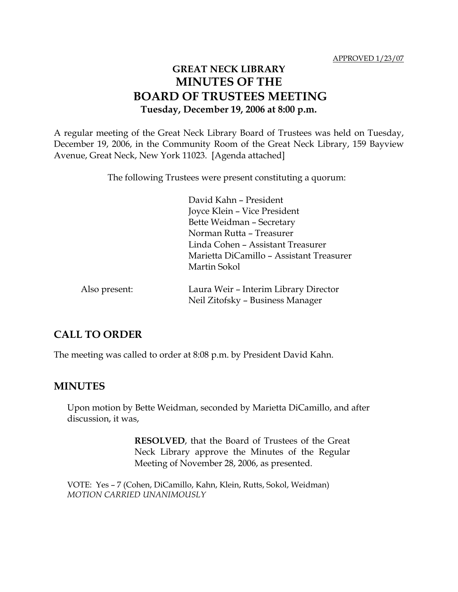# **GREAT NECK LIBRARY MINUTES OF THE BOARD OF TRUSTEES MEETING Tuesday, December 19, 2006 at 8:00 p.m.**

A regular meeting of the Great Neck Library Board of Trustees was held on Tuesday, December 19, 2006, in the Community Room of the Great Neck Library, 159 Bayview Avenue, Great Neck, New York 11023. [Agenda attached]

The following Trustees were present constituting a quorum:

David Kahn – President Joyce Klein – Vice President Bette Weidman – Secretary Norman Rutta – Treasurer Linda Cohen – Assistant Treasurer Marietta DiCamillo – Assistant Treasurer Martin Sokol

| Also present: | Laura Weir - Interim Library Director |
|---------------|---------------------------------------|
|               | Neil Zitofsky - Business Manager      |

# **CALL TO ORDER**

The meeting was called to order at 8:08 p.m. by President David Kahn.

## **MINUTES**

Upon motion by Bette Weidman, seconded by Marietta DiCamillo, and after discussion, it was,

> **RESOLVED**, that the Board of Trustees of the Great Neck Library approve the Minutes of the Regular Meeting of November 28, 2006, as presented.

VOTE:Yes – 7 (Cohen, DiCamillo, Kahn, Klein, Rutts, Sokol, Weidman) *MOTION CARRIED UNANIMOUSLY*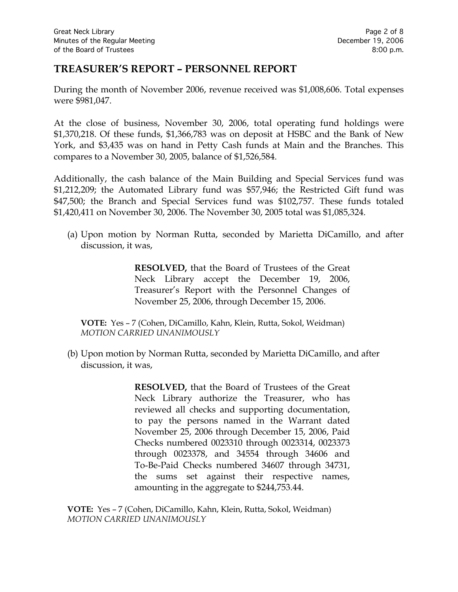## **TREASURER'S REPORT – PERSONNEL REPORT**

During the month of November 2006, revenue received was \$1,008,606. Total expenses were \$981,047.

At the close of business, November 30, 2006, total operating fund holdings were \$1,370,218. Of these funds, \$1,366,783 was on deposit at HSBC and the Bank of New York, and \$3,435 was on hand in Petty Cash funds at Main and the Branches. This compares to a November 30, 2005, balance of \$1,526,584.

Additionally, the cash balance of the Main Building and Special Services fund was \$1,212,209; the Automated Library fund was \$57,946; the Restricted Gift fund was \$47,500; the Branch and Special Services fund was \$102,757. These funds totaled \$1,420,411 on November 30, 2006. The November 30, 2005 total was \$1,085,324.

(a) Upon motion by Norman Rutta, seconded by Marietta DiCamillo, and after discussion, it was,

> **RESOLVED,** that the Board of Trustees of the Great Neck Library accept the December 19, 2006, Treasurer's Report with the Personnel Changes of November 25, 2006, through December 15, 2006.

**VOTE:** Yes – 7 (Cohen, DiCamillo, Kahn, Klein, Rutta, Sokol, Weidman) *MOTION CARRIED UNANIMOUSLY*

(b) Upon motion by Norman Rutta, seconded by Marietta DiCamillo, and after discussion, it was,

> **RESOLVED,** that the Board of Trustees of the Great Neck Library authorize the Treasurer, who has reviewed all checks and supporting documentation, to pay the persons named in the Warrant dated November 25, 2006 through December 15, 2006, Paid Checks numbered 0023310 through 0023314, 0023373 through 0023378, and 34554 through 34606 and To-Be-Paid Checks numbered 34607 through 34731, the sums set against their respective names, amounting in the aggregate to \$244,753.44.

**VOTE:** Yes – 7 (Cohen, DiCamillo, Kahn, Klein, Rutta, Sokol, Weidman) *MOTION CARRIED UNANIMOUSLY*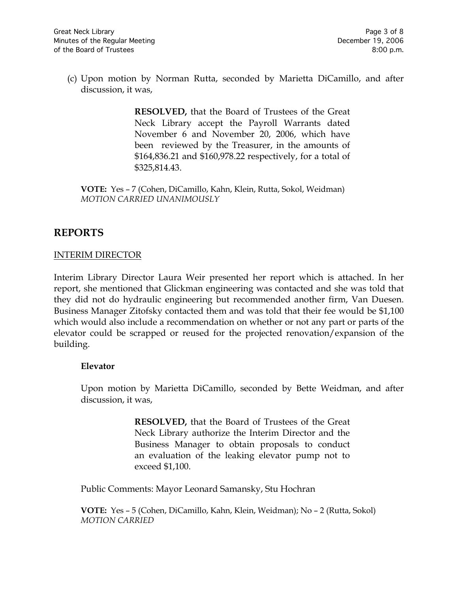(c) Upon motion by Norman Rutta, seconded by Marietta DiCamillo, and after discussion, it was,

> **RESOLVED,** that the Board of Trustees of the Great Neck Library accept the Payroll Warrants dated November 6 and November 20, 2006, which have been reviewed by the Treasurer, in the amounts of \$164,836.21 and \$160,978.22 respectively, for a total of \$325,814.43.

**VOTE:** Yes – 7 (Cohen, DiCamillo, Kahn, Klein, Rutta, Sokol, Weidman) *MOTION CARRIED UNANIMOUSLY*

# **REPORTS**

### INTERIM DIRECTOR

Interim Library Director Laura Weir presented her report which is attached. In her report, she mentioned that Glickman engineering was contacted and she was told that they did not do hydraulic engineering but recommended another firm, Van Duesen. Business Manager Zitofsky contacted them and was told that their fee would be \$1,100 which would also include a recommendation on whether or not any part or parts of the elevator could be scrapped or reused for the projected renovation/expansion of the building.

### **Elevator**

Upon motion by Marietta DiCamillo, seconded by Bette Weidman, and after discussion, it was,

> **RESOLVED,** that the Board of Trustees of the Great Neck Library authorize the Interim Director and the Business Manager to obtain proposals to conduct an evaluation of the leaking elevator pump not to exceed \$1,100.

Public Comments: Mayor Leonard Samansky, Stu Hochran

**VOTE:** Yes – 5 (Cohen, DiCamillo, Kahn, Klein, Weidman); No – 2 (Rutta, Sokol) *MOTION CARRIED*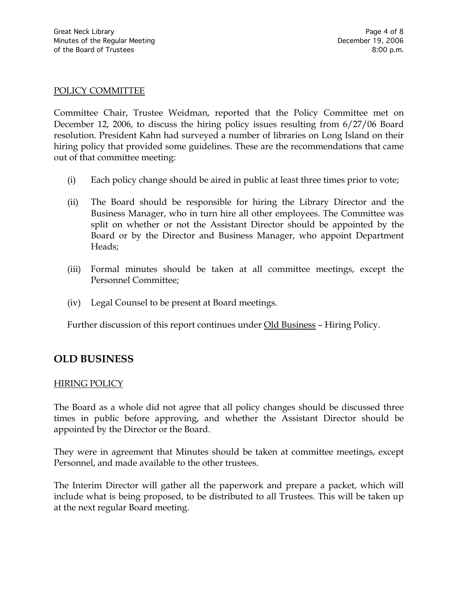#### POLICY COMMITTEE

Committee Chair, Trustee Weidman, reported that the Policy Committee met on December 12, 2006, to discuss the hiring policy issues resulting from 6/27/06 Board resolution. President Kahn had surveyed a number of libraries on Long Island on their hiring policy that provided some guidelines. These are the recommendations that came out of that committee meeting:

- (i) Each policy change should be aired in public at least three times prior to vote;
- (ii) The Board should be responsible for hiring the Library Director and the Business Manager, who in turn hire all other employees. The Committee was split on whether or not the Assistant Director should be appointed by the Board or by the Director and Business Manager, who appoint Department Heads;
- (iii) Formal minutes should be taken at all committee meetings, except the Personnel Committee;
- (iv) Legal Counsel to be present at Board meetings.

Further discussion of this report continues under Old Business – Hiring Policy.

## **OLD BUSINESS**

#### HIRING POLICY

The Board as a whole did not agree that all policy changes should be discussed three times in public before approving, and whether the Assistant Director should be appointed by the Director or the Board.

They were in agreement that Minutes should be taken at committee meetings, except Personnel, and made available to the other trustees.

The Interim Director will gather all the paperwork and prepare a packet, which will include what is being proposed, to be distributed to all Trustees. This will be taken up at the next regular Board meeting.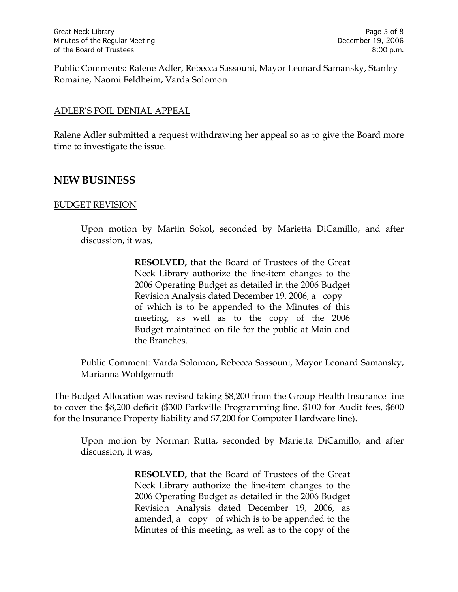Public Comments: Ralene Adler, Rebecca Sassouni, Mayor Leonard Samansky, Stanley Romaine, Naomi Feldheim, Varda Solomon

### ADLER'S FOIL DENIAL APPEAL

Ralene Adler submitted a request withdrawing her appeal so as to give the Board more time to investigate the issue.

## **NEW BUSINESS**

#### BUDGET REVISION

Upon motion by Martin Sokol, seconded by Marietta DiCamillo, and after discussion, it was,

> **RESOLVED,** that the Board of Trustees of the Great Neck Library authorize the line-item changes to the 2006 Operating Budget as detailed in the 2006 Budget Revision Analysis dated December 19, 2006, a copy of which is to be appended to the Minutes of this meeting, as well as to the copy of the 2006 Budget maintained on file for the public at Main and the Branches.

Public Comment: Varda Solomon, Rebecca Sassouni, Mayor Leonard Samansky, Marianna Wohlgemuth

The Budget Allocation was revised taking \$8,200 from the Group Health Insurance line to cover the \$8,200 deficit (\$300 Parkville Programming line, \$100 for Audit fees, \$600 for the Insurance Property liability and \$7,200 for Computer Hardware line).

Upon motion by Norman Rutta, seconded by Marietta DiCamillo, and after discussion, it was,

> **RESOLVED,** that the Board of Trustees of the Great Neck Library authorize the line-item changes to the 2006 Operating Budget as detailed in the 2006 Budget Revision Analysis dated December 19, 2006, as amended, a copy of which is to be appended to the Minutes of this meeting, as well as to the copy of the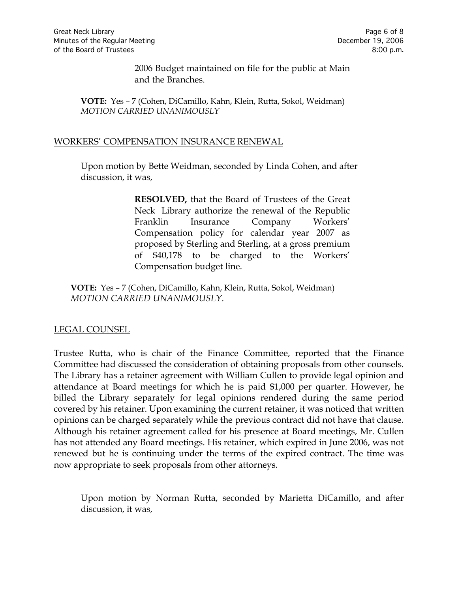2006 Budget maintained on file for the public at Main and the Branches.

**VOTE:** Yes – 7 (Cohen, DiCamillo, Kahn, Klein, Rutta, Sokol, Weidman) *MOTION CARRIED UNANIMOUSLY*

#### WORKERS' COMPENSATION INSURANCE RENEWAL

Upon motion by Bette Weidman, seconded by Linda Cohen, and after discussion, it was,

> **RESOLVED,** that the Board of Trustees of the Great Neck Library authorize the renewal of the Republic Franklin Insurance Company Workers' Compensation policy for calendar year 2007 as proposed by Sterling and Sterling, at a gross premium of \$40,178 to be charged to the Workers' Compensation budget line.

**VOTE:** Yes – 7 (Cohen, DiCamillo, Kahn, Klein, Rutta, Sokol, Weidman) *MOTION CARRIED UNANIMOUSLY.*

### LEGAL COUNSEL

Trustee Rutta, who is chair of the Finance Committee, reported that the Finance Committee had discussed the consideration of obtaining proposals from other counsels. The Library has a retainer agreement with William Cullen to provide legal opinion and attendance at Board meetings for which he is paid \$1,000 per quarter. However, he billed the Library separately for legal opinions rendered during the same period covered by his retainer. Upon examining the current retainer, it was noticed that written opinions can be charged separately while the previous contract did not have that clause. Although his retainer agreement called for his presence at Board meetings, Mr. Cullen has not attended any Board meetings. His retainer, which expired in June 2006, was not renewed but he is continuing under the terms of the expired contract. The time was now appropriate to seek proposals from other attorneys.

Upon motion by Norman Rutta, seconded by Marietta DiCamillo, and after discussion, it was,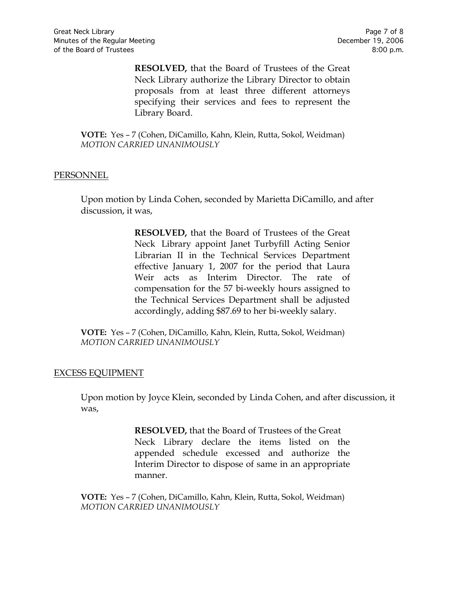**RESOLVED,** that the Board of Trustees of the Great Neck Library authorize the Library Director to obtain proposals from at least three different attorneys specifying their services and fees to represent the Library Board.

**VOTE:** Yes – 7 (Cohen, DiCamillo, Kahn, Klein, Rutta, Sokol, Weidman) *MOTION CARRIED UNANIMOUSLY*

#### PERSONNEL

Upon motion by Linda Cohen, seconded by Marietta DiCamillo, and after discussion, it was,

> **RESOLVED,** that the Board of Trustees of the Great Neck Library appoint Janet Turbyfill Acting Senior Librarian II in the Technical Services Department effective January 1, 2007 for the period that Laura Weir acts as Interim Director. The rate of compensation for the 57 bi-weekly hours assigned to the Technical Services Department shall be adjusted accordingly, adding \$87.69 to her bi-weekly salary.

**VOTE:** Yes – 7 (Cohen, DiCamillo, Kahn, Klein, Rutta, Sokol, Weidman) *MOTION CARRIED UNANIMOUSLY*

### EXCESS EQUIPMENT

Upon motion by Joyce Klein, seconded by Linda Cohen, and after discussion, it was,

> **RESOLVED,** that the Board of Trustees of the Great Neck Library declare the items listed on the appended schedule excessed and authorize the Interim Director to dispose of same in an appropriate manner.

**VOTE:** Yes – 7 (Cohen, DiCamillo, Kahn, Klein, Rutta, Sokol, Weidman) *MOTION CARRIED UNANIMOUSLY*